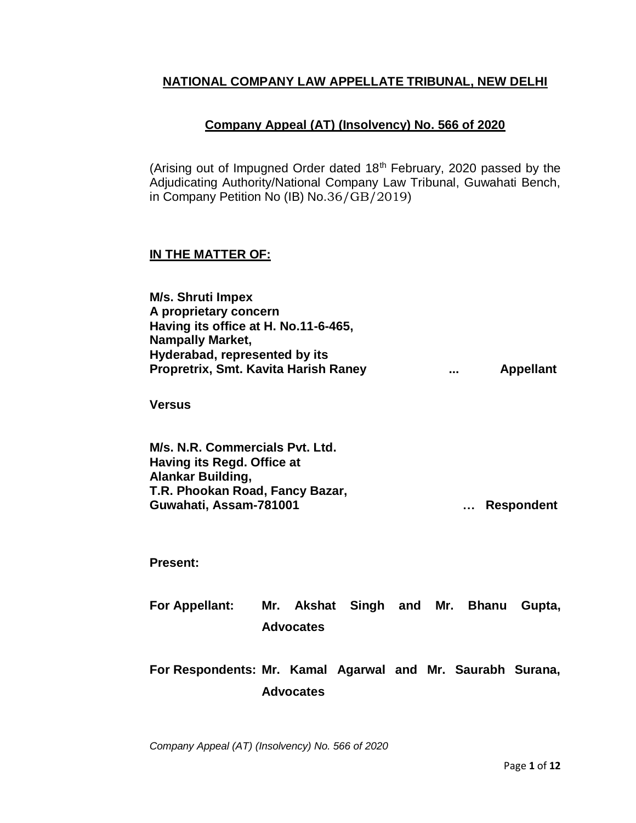## **NATIONAL COMPANY LAW APPELLATE TRIBUNAL, NEW DELHI**

## **Company Appeal (AT) (Insolvency) No. 566 of 2020**

(Arising out of Impugned Order dated  $18<sup>th</sup>$  February, 2020 passed by the Adjudicating Authority/National Company Law Tribunal, Guwahati Bench, in Company Petition No (IB) No.36/GB/2019)

## **IN THE MATTER OF:**

**M/s. Shruti Impex A proprietary concern Having its office at H. No.11-6-465, Nampally Market, Hyderabad, represented by its Propretrix, Smt. Kavita Harish Raney ... Appellant**

**Versus**

**M/s. N.R. Commercials Pvt. Ltd. Having its Regd. Office at Alankar Building, T.R. Phookan Road, Fancy Bazar, Guwahati, Assam-781001 … Respondent** 

**Present:**

**For Appellant: Mr. Akshat Singh and Mr. Bhanu Gupta, Advocates**

**For Respondents: Mr. Kamal Agarwal and Mr. Saurabh Surana, Advocates**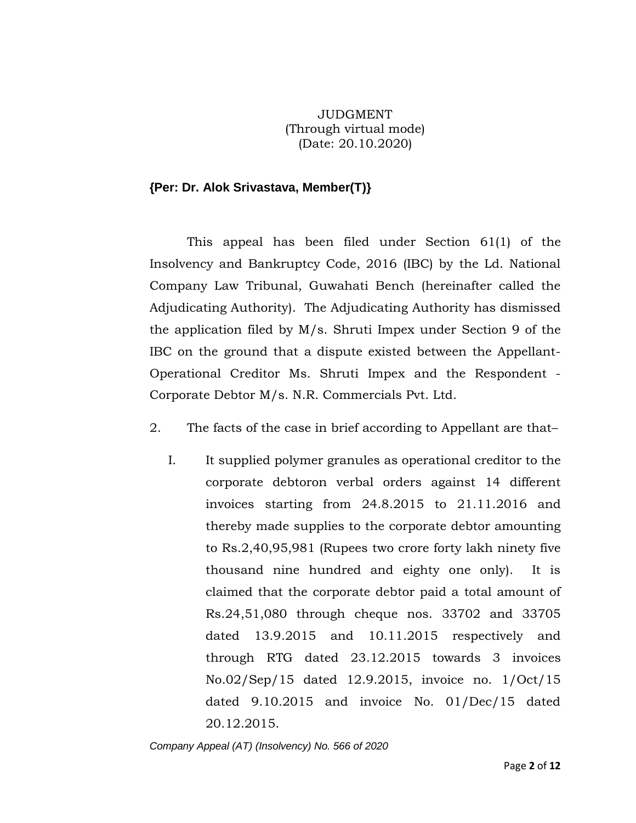JUDGMENT (Through virtual mode) (Date: 20.10.2020)

## **{Per: Dr. Alok Srivastava, Member(T)}**

This appeal has been filed under Section 61(1) of the Insolvency and Bankruptcy Code, 2016 (IBC) by the Ld. National Company Law Tribunal, Guwahati Bench (hereinafter called the Adjudicating Authority). The Adjudicating Authority has dismissed the application filed by M/s. Shruti Impex under Section 9 of the IBC on the ground that a dispute existed between the Appellant-Operational Creditor Ms. Shruti Impex and the Respondent - Corporate Debtor M/s. N.R. Commercials Pvt. Ltd.

- 2. The facts of the case in brief according to Appellant are that–
	- I. It supplied polymer granules as operational creditor to the corporate debtoron verbal orders against 14 different invoices starting from 24.8.2015 to 21.11.2016 and thereby made supplies to the corporate debtor amounting to Rs.2,40,95,981 (Rupees two crore forty lakh ninety five thousand nine hundred and eighty one only). It is claimed that the corporate debtor paid a total amount of Rs.24,51,080 through cheque nos. 33702 and 33705 dated 13.9.2015 and 10.11.2015 respectively and through RTG dated 23.12.2015 towards 3 invoices No.02/Sep/15 dated 12.9.2015, invoice no. 1/Oct/15 dated 9.10.2015 and invoice No. 01/Dec/15 dated 20.12.2015.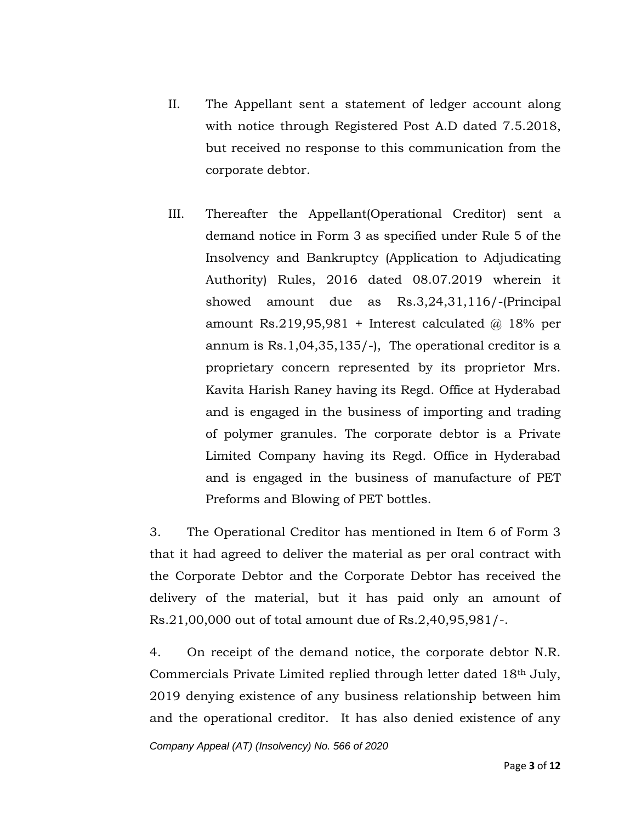- II. The Appellant sent a statement of ledger account along with notice through Registered Post A.D dated 7.5.2018, but received no response to this communication from the corporate debtor.
- III. Thereafter the Appellant(Operational Creditor) sent a demand notice in Form 3 as specified under Rule 5 of the Insolvency and Bankruptcy (Application to Adjudicating Authority) Rules, 2016 dated 08.07.2019 wherein it showed amount due as Rs.3,24,31,116/-(Principal amount Rs.219,95,981 + Interest calculated  $@$  18% per annum is Rs.1,04,35,135/-), The operational creditor is a proprietary concern represented by its proprietor Mrs. Kavita Harish Raney having its Regd. Office at Hyderabad and is engaged in the business of importing and trading of polymer granules. The corporate debtor is a Private Limited Company having its Regd. Office in Hyderabad and is engaged in the business of manufacture of PET Preforms and Blowing of PET bottles.

3. The Operational Creditor has mentioned in Item 6 of Form 3 that it had agreed to deliver the material as per oral contract with the Corporate Debtor and the Corporate Debtor has received the delivery of the material, but it has paid only an amount of Rs.21,00,000 out of total amount due of Rs.2,40,95,981/-.

4. On receipt of the demand notice, the corporate debtor N.R. Commercials Private Limited replied through letter dated 18th July, 2019 denying existence of any business relationship between him and the operational creditor. It has also denied existence of any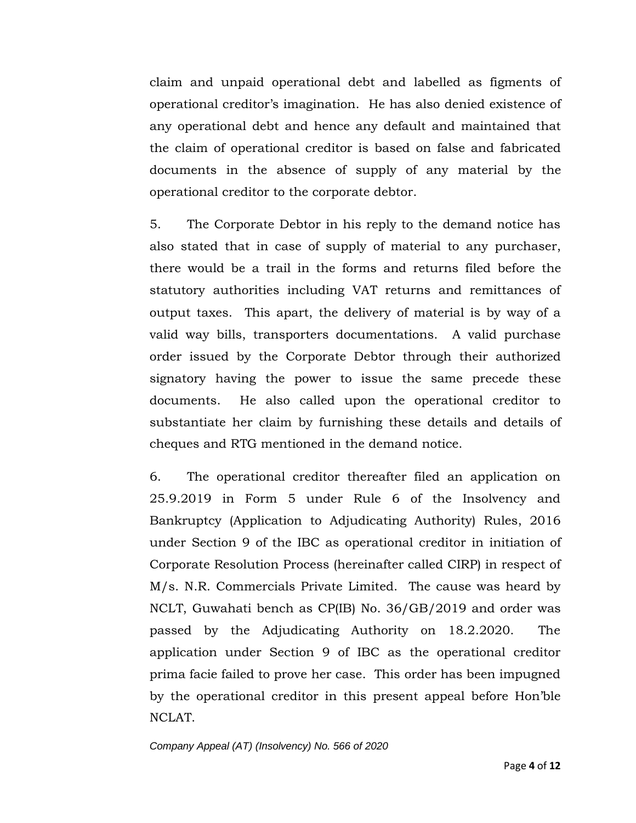claim and unpaid operational debt and labelled as figments of operational creditor's imagination. He has also denied existence of any operational debt and hence any default and maintained that the claim of operational creditor is based on false and fabricated documents in the absence of supply of any material by the operational creditor to the corporate debtor.

5. The Corporate Debtor in his reply to the demand notice has also stated that in case of supply of material to any purchaser, there would be a trail in the forms and returns filed before the statutory authorities including VAT returns and remittances of output taxes. This apart, the delivery of material is by way of a valid way bills, transporters documentations. A valid purchase order issued by the Corporate Debtor through their authorized signatory having the power to issue the same precede these documents. He also called upon the operational creditor to substantiate her claim by furnishing these details and details of cheques and RTG mentioned in the demand notice.

6. The operational creditor thereafter filed an application on 25.9.2019 in Form 5 under Rule 6 of the Insolvency and Bankruptcy (Application to Adjudicating Authority) Rules, 2016 under Section 9 of the IBC as operational creditor in initiation of Corporate Resolution Process (hereinafter called CIRP) in respect of M/s. N.R. Commercials Private Limited. The cause was heard by NCLT, Guwahati bench as CP(IB) No. 36/GB/2019 and order was passed by the Adjudicating Authority on 18.2.2020. The application under Section 9 of IBC as the operational creditor prima facie failed to prove her case. This order has been impugned by the operational creditor in this present appeal before Hon'ble NCLAT.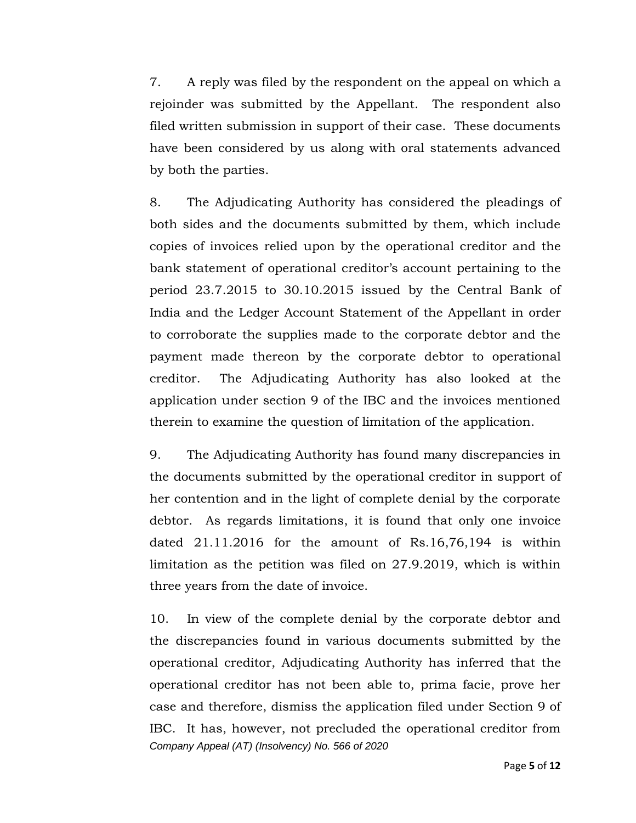7. A reply was filed by the respondent on the appeal on which a rejoinder was submitted by the Appellant. The respondent also filed written submission in support of their case. These documents have been considered by us along with oral statements advanced by both the parties.

8. The Adjudicating Authority has considered the pleadings of both sides and the documents submitted by them, which include copies of invoices relied upon by the operational creditor and the bank statement of operational creditor's account pertaining to the period 23.7.2015 to 30.10.2015 issued by the Central Bank of India and the Ledger Account Statement of the Appellant in order to corroborate the supplies made to the corporate debtor and the payment made thereon by the corporate debtor to operational creditor. The Adjudicating Authority has also looked at the application under section 9 of the IBC and the invoices mentioned therein to examine the question of limitation of the application.

9. The Adjudicating Authority has found many discrepancies in the documents submitted by the operational creditor in support of her contention and in the light of complete denial by the corporate debtor. As regards limitations, it is found that only one invoice dated 21.11.2016 for the amount of Rs.16,76,194 is within limitation as the petition was filed on 27.9.2019, which is within three years from the date of invoice.

*Company Appeal (AT) (Insolvency) No. 566 of 2020* 10. In view of the complete denial by the corporate debtor and the discrepancies found in various documents submitted by the operational creditor, Adjudicating Authority has inferred that the operational creditor has not been able to, prima facie, prove her case and therefore, dismiss the application filed under Section 9 of IBC. It has, however, not precluded the operational creditor from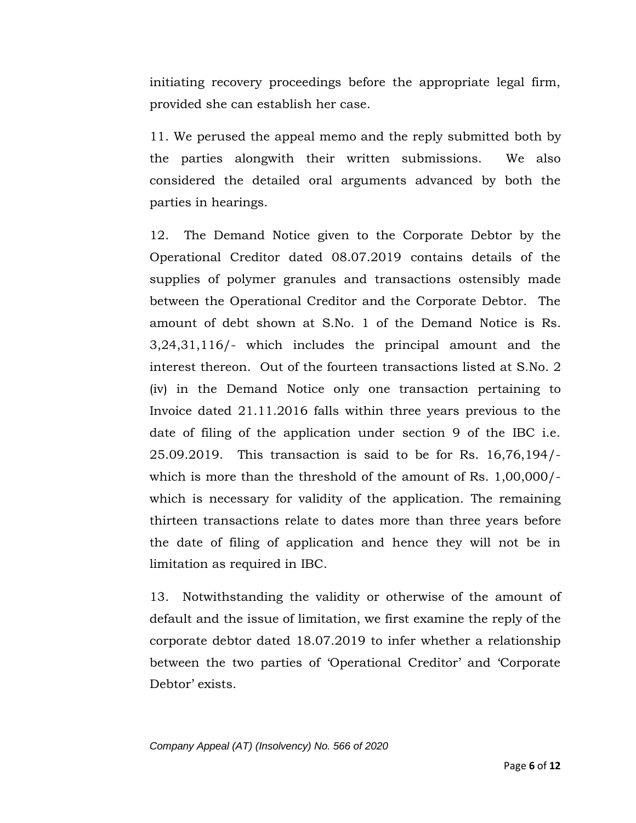initiating recovery proceedings before the appropriate legal firm, provided she can establish her case.

11. We perused the appeal memo and the reply submitted both by the parties alongwith their written submissions. We also considered the detailed oral arguments advanced by both the parties in hearings.

12. The Demand Notice given to the Corporate Debtor by the Operational Creditor dated 08.07.2019 contains details of the supplies of polymer granules and transactions ostensibly made between the Operational Creditor and the Corporate Debtor. The amount of debt shown at S.No. 1 of the Demand Notice is Rs. 3,24,31,116/- which includes the principal amount and the interest thereon. Out of the fourteen transactions listed at S.No. 2 (iv) in the Demand Notice only one transaction pertaining to Invoice dated 21.11.2016 falls within three years previous to the date of filing of the application under section 9 of the IBC i.e. 25.09.2019. This transaction is said to be for Rs. 16,76,194/ which is more than the threshold of the amount of Rs. 1,00,000/ which is necessary for validity of the application. The remaining thirteen transactions relate to dates more than three years before the date of filing of application and hence they will not be in limitation as required in IBC.

13. Notwithstanding the validity or otherwise of the amount of default and the issue of limitation, we first examine the reply of the corporate debtor dated 18.07.2019 to infer whether a relationship between the two parties of 'Operational Creditor' and 'Corporate Debtor' exists.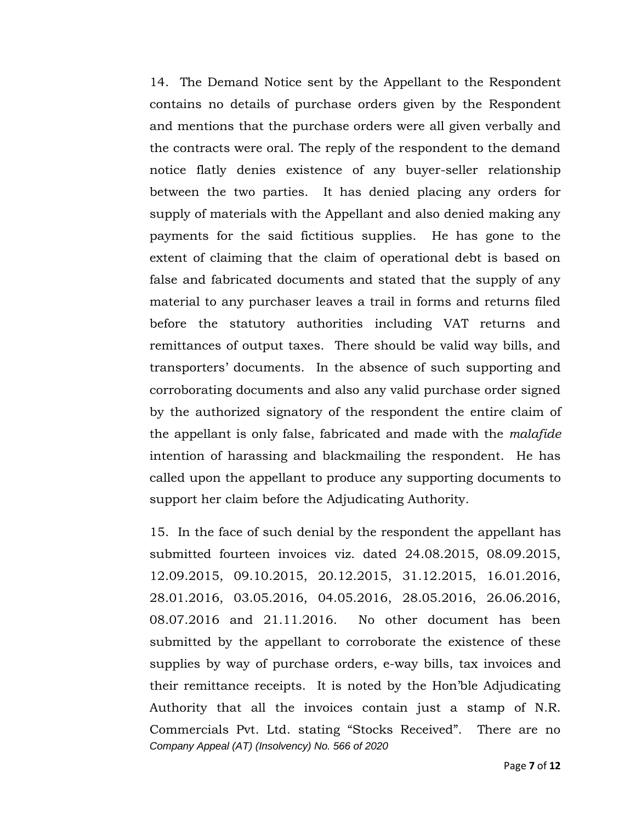14. The Demand Notice sent by the Appellant to the Respondent contains no details of purchase orders given by the Respondent and mentions that the purchase orders were all given verbally and the contracts were oral. The reply of the respondent to the demand notice flatly denies existence of any buyer-seller relationship between the two parties. It has denied placing any orders for supply of materials with the Appellant and also denied making any payments for the said fictitious supplies. He has gone to the extent of claiming that the claim of operational debt is based on false and fabricated documents and stated that the supply of any material to any purchaser leaves a trail in forms and returns filed before the statutory authorities including VAT returns and remittances of output taxes. There should be valid way bills, and transporters' documents. In the absence of such supporting and corroborating documents and also any valid purchase order signed by the authorized signatory of the respondent the entire claim of the appellant is only false, fabricated and made with the *malafide* intention of harassing and blackmailing the respondent. He has called upon the appellant to produce any supporting documents to support her claim before the Adjudicating Authority.

*Company Appeal (AT) (Insolvency) No. 566 of 2020* 15. In the face of such denial by the respondent the appellant has submitted fourteen invoices viz. dated 24.08.2015, 08.09.2015, 12.09.2015, 09.10.2015, 20.12.2015, 31.12.2015, 16.01.2016, 28.01.2016, 03.05.2016, 04.05.2016, 28.05.2016, 26.06.2016, 08.07.2016 and 21.11.2016. No other document has been submitted by the appellant to corroborate the existence of these supplies by way of purchase orders, e-way bills, tax invoices and their remittance receipts. It is noted by the Hon'ble Adjudicating Authority that all the invoices contain just a stamp of N.R. Commercials Pvt. Ltd. stating "Stocks Received". There are no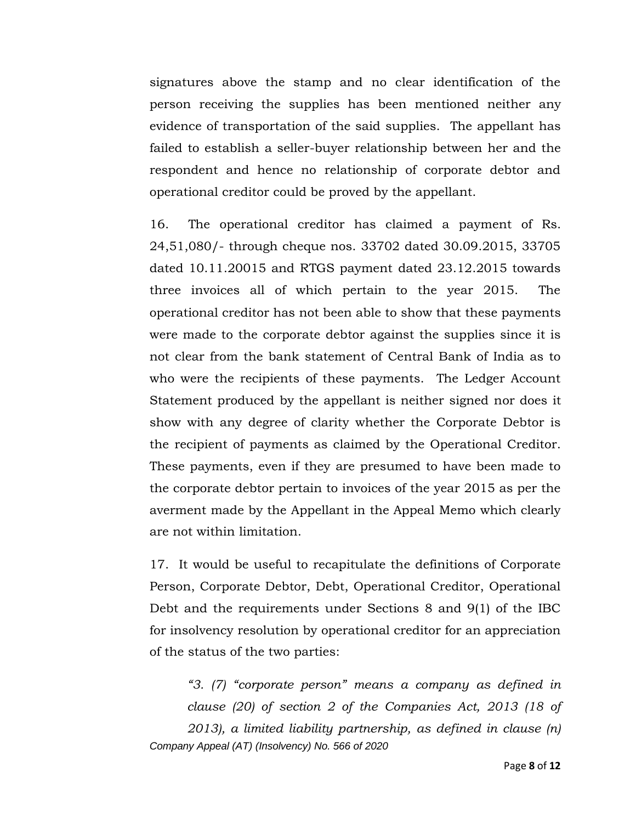signatures above the stamp and no clear identification of the person receiving the supplies has been mentioned neither any evidence of transportation of the said supplies. The appellant has failed to establish a seller-buyer relationship between her and the respondent and hence no relationship of corporate debtor and operational creditor could be proved by the appellant.

16. The operational creditor has claimed a payment of Rs. 24,51,080/- through cheque nos. 33702 dated 30.09.2015, 33705 dated 10.11.20015 and RTGS payment dated 23.12.2015 towards three invoices all of which pertain to the year 2015. The operational creditor has not been able to show that these payments were made to the corporate debtor against the supplies since it is not clear from the bank statement of Central Bank of India as to who were the recipients of these payments. The Ledger Account Statement produced by the appellant is neither signed nor does it show with any degree of clarity whether the Corporate Debtor is the recipient of payments as claimed by the Operational Creditor. These payments, even if they are presumed to have been made to the corporate debtor pertain to invoices of the year 2015 as per the averment made by the Appellant in the Appeal Memo which clearly are not within limitation.

17. It would be useful to recapitulate the definitions of Corporate Person, Corporate Debtor, Debt, Operational Creditor, Operational Debt and the requirements under Sections 8 and 9(1) of the IBC for insolvency resolution by operational creditor for an appreciation of the status of the two parties:

*Company Appeal (AT) (Insolvency) No. 566 of 2020 "3. (7) "corporate person" means a company as defined in clause (20) of section 2 of the Companies Act, 2013 (18 of 2013), a limited liability partnership, as defined in clause (n)*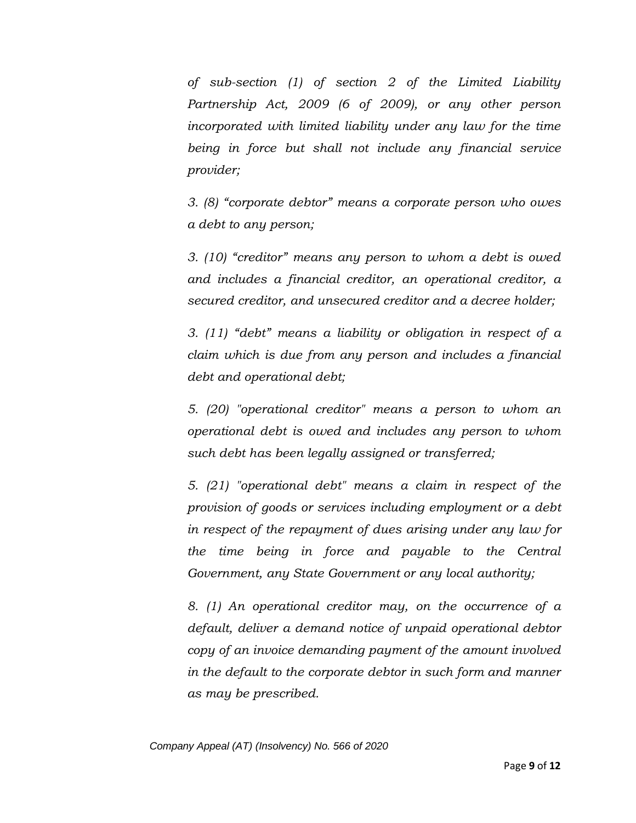*of sub-section (1) of section 2 of the Limited Liability Partnership Act, 2009 (6 of 2009), or any other person incorporated with limited liability under any law for the time being in force but shall not include any financial service provider;*

*3. (8) "corporate debtor" means a corporate person who owes a debt to any person;*

*3. (10) "creditor" means any person to whom a debt is owed and includes a financial creditor, an operational creditor, a secured creditor, and unsecured creditor and a decree holder;*

*3. (11) "debt" means a liability or obligation in respect of a claim which is due from any person and includes a financial debt and operational debt;*

*5. (20) "operational creditor" means a person to whom an operational debt is owed and includes any person to whom such debt has been legally assigned or transferred;*

*5. (21) "operational debt" means a claim in respect of the provision of goods or services including employment or a debt in respect of the repayment of dues arising under any law for the time being in force and payable to the Central Government, any State Government or any local authority;*

*8. (1) An operational creditor may, on the occurrence of a default, deliver a demand notice of unpaid operational debtor copy of an invoice demanding payment of the amount involved in the default to the corporate debtor in such form and manner as may be prescribed.*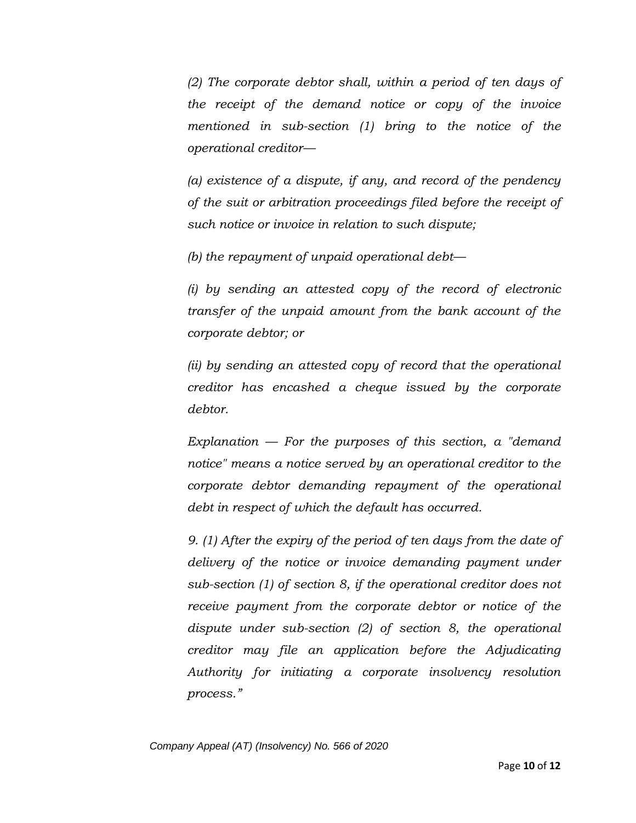*(2) The corporate debtor shall, within a period of ten days of the receipt of the demand notice or copy of the invoice mentioned in sub-section (1) bring to the notice of the operational creditor—*

*(a) existence of a dispute, if any, and record of the pendency of the suit or arbitration proceedings filed before the receipt of such notice or invoice in relation to such dispute;*

*(b) the repayment of unpaid operational debt—*

*(i) by sending an attested copy of the record of electronic transfer of the unpaid amount from the bank account of the corporate debtor; or*

*(ii) by sending an attested copy of record that the operational creditor has encashed a cheque issued by the corporate debtor.*

*Explanation — For the purposes of this section, a "demand notice" means a notice served by an operational creditor to the corporate debtor demanding repayment of the operational debt in respect of which the default has occurred.*

*9. (1) After the expiry of the period of ten days from the date of delivery of the notice or invoice demanding payment under sub-section (1) of section 8, if the operational creditor does not receive payment from the corporate debtor or notice of the dispute under sub-section (2) of section 8, the operational creditor may file an application before the Adjudicating Authority for initiating a corporate insolvency resolution process."*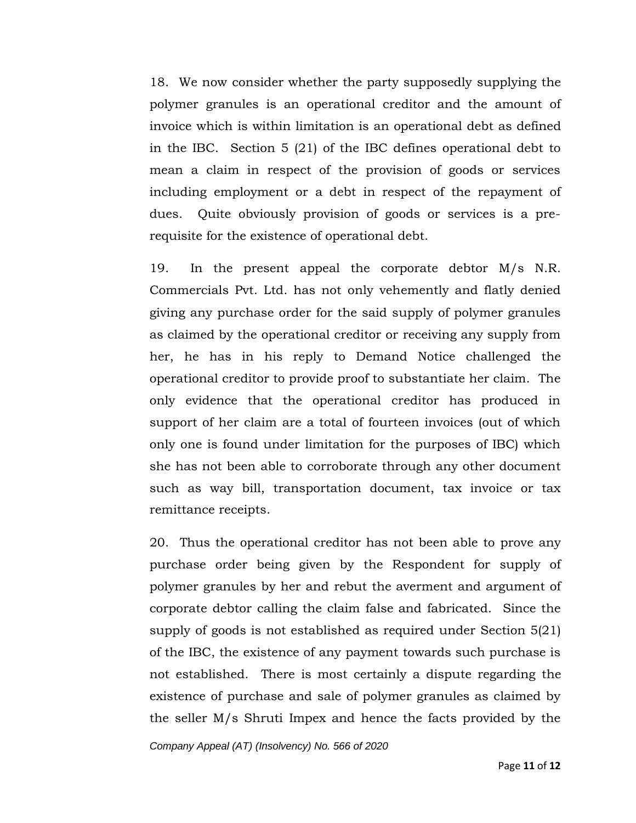18. We now consider whether the party supposedly supplying the polymer granules is an operational creditor and the amount of invoice which is within limitation is an operational debt as defined in the IBC. Section 5 (21) of the IBC defines operational debt to mean a claim in respect of the provision of goods or services including employment or a debt in respect of the repayment of dues. Quite obviously provision of goods or services is a prerequisite for the existence of operational debt.

19. In the present appeal the corporate debtor M/s N.R. Commercials Pvt. Ltd. has not only vehemently and flatly denied giving any purchase order for the said supply of polymer granules as claimed by the operational creditor or receiving any supply from her, he has in his reply to Demand Notice challenged the operational creditor to provide proof to substantiate her claim. The only evidence that the operational creditor has produced in support of her claim are a total of fourteen invoices (out of which only one is found under limitation for the purposes of IBC) which she has not been able to corroborate through any other document such as way bill, transportation document, tax invoice or tax remittance receipts.

20. Thus the operational creditor has not been able to prove any purchase order being given by the Respondent for supply of polymer granules by her and rebut the averment and argument of corporate debtor calling the claim false and fabricated. Since the supply of goods is not established as required under Section 5(21) of the IBC, the existence of any payment towards such purchase is not established. There is most certainly a dispute regarding the existence of purchase and sale of polymer granules as claimed by the seller M/s Shruti Impex and hence the facts provided by the